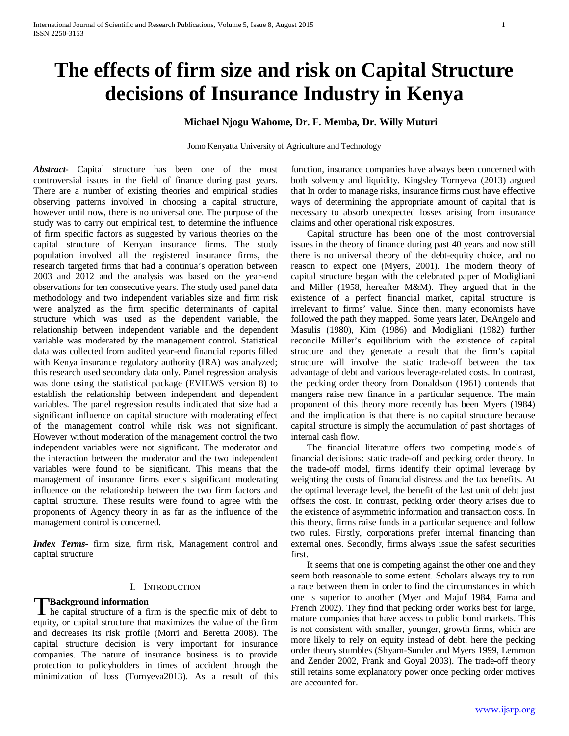# **The effects of firm size and risk on Capital Structure decisions of Insurance Industry in Kenya**

# **Michael Njogu Wahome, Dr. F. Memba, Dr. Willy Muturi**

Jomo Kenyatta University of Agriculture and Technology

*Abstract***-** Capital structure has been one of the most controversial issues in the field of finance during past years. There are a number of existing theories and empirical studies observing patterns involved in choosing a capital structure, however until now, there is no universal one. The purpose of the study was to carry out empirical test, to determine the influence of firm specific factors as suggested by various theories on the capital structure of Kenyan insurance firms. The study population involved all the registered insurance firms, the research targeted firms that had a continua's operation between 2003 and 2012 and the analysis was based on the year-end observations for ten consecutive years. The study used panel data methodology and two independent variables size and firm risk were analyzed as the firm specific determinants of capital structure which was used as the dependent variable, the relationship between independent variable and the dependent variable was moderated by the management control. Statistical data was collected from audited year-end financial reports filled with Kenya insurance regulatory authority (IRA) was analyzed; this research used secondary data only. Panel regression analysis was done using the statistical package (EVIEWS version 8) to establish the relationship between independent and dependent variables. The panel regression results indicated that size had a significant influence on capital structure with moderating effect of the management control while risk was not significant. However without moderation of the management control the two independent variables were not significant. The moderator and the interaction between the moderator and the two independent variables were found to be significant. This means that the management of insurance firms exerts significant moderating influence on the relationship between the two firm factors and capital structure. These results were found to agree with the proponents of Agency theory in as far as the influence of the management control is concerned.

*Index Terms*- firm size, firm risk, Management control and capital structure

#### I. INTRODUCTION

#### **Background information**

**He capital structure of a firm is the specific mix of debt to** equity, or capital structure that maximizes the value of the firm and decreases its risk profile (Morri and Beretta 2008). The capital structure decision is very important for insurance companies. The nature of insurance business is to provide protection to policyholders in times of accident through the minimization of loss (Tornyeva2013). As a result of this

function, insurance companies have always been concerned with both solvency and liquidity. Kingsley Tornyeva (2013) argued that In order to manage risks, insurance firms must have effective ways of determining the appropriate amount of capital that is necessary to absorb unexpected losses arising from insurance claims and other operational risk exposures.

 Capital structure has been one of the most controversial issues in the theory of finance during past 40 years and now still there is no universal theory of the debt-equity choice, and no reason to expect one (Myers, 2001). The modern theory of capital structure began with the celebrated paper of Modigliani and Miller (1958, hereafter M&M). They argued that in the existence of a perfect financial market, capital structure is irrelevant to firms' value. Since then, many economists have followed the path they mapped. Some years later, DeAngelo and Masulis (1980), Kim (1986) and Modigliani (1982) further reconcile Miller's equilibrium with the existence of capital structure and they generate a result that the firm's capital structure will involve the static trade-off between the tax advantage of debt and various leverage-related costs. In contrast, the pecking order theory from Donaldson (1961) contends that mangers raise new finance in a particular sequence. The main proponent of this theory more recently has been Myers (1984) and the implication is that there is no capital structure because capital structure is simply the accumulation of past shortages of internal cash flow.

 The financial literature offers two competing models of financial decisions: static trade-off and pecking order theory. In the trade-off model, firms identify their optimal leverage by weighting the costs of financial distress and the tax benefits. At the optimal leverage level, the benefit of the last unit of debt just offsets the cost. In contrast, pecking order theory arises due to the existence of asymmetric information and transaction costs. In this theory, firms raise funds in a particular sequence and follow two rules. Firstly, corporations prefer internal financing than external ones. Secondly, firms always issue the safest securities first.

 It seems that one is competing against the other one and they seem both reasonable to some extent. Scholars always try to run a race between them in order to find the circumstances in which one is superior to another (Myer and Majuf 1984, Fama and French 2002). They find that pecking order works best for large, mature companies that have access to public bond markets. This is not consistent with smaller, younger, growth firms, which are more likely to rely on equity instead of debt, here the pecking order theory stumbles (Shyam-Sunder and Myers 1999, Lemmon and Zender 2002, Frank and Goyal 2003). The trade-off theory still retains some explanatory power once pecking order motives are accounted for.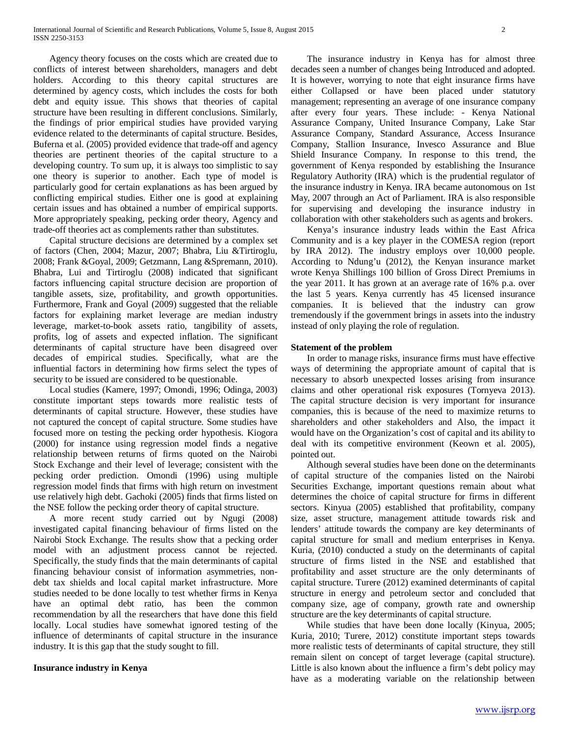Agency theory focuses on the costs which are created due to conflicts of interest between shareholders, managers and debt holders. According to this theory capital structures are determined by agency costs, which includes the costs for both debt and equity issue. This shows that theories of capital structure have been resulting in different conclusions. Similarly, the findings of prior empirical studies have provided varying evidence related to the determinants of capital structure. Besides, Buferna et al. (2005) provided evidence that trade-off and agency theories are pertinent theories of the capital structure to a developing country. To sum up, it is always too simplistic to say one theory is superior to another. Each type of model is particularly good for certain explanations as has been argued by conflicting empirical studies. Either one is good at explaining certain issues and has obtained a number of empirical supports. More appropriately speaking, pecking order theory, Agency and trade-off theories act as complements rather than substitutes.

 Capital structure decisions are determined by a complex set of factors (Chen, 2004; Mazur, 2007; Bhabra, Liu &Tirtiroglu, 2008; Frank &Goyal, 2009; Getzmann, Lang &Spremann, 2010). Bhabra, Lui and Tirtiroglu (2008) indicated that significant factors influencing capital structure decision are proportion of tangible assets, size, profitability, and growth opportunities. Furthermore, Frank and Goyal (2009) suggested that the reliable factors for explaining market leverage are median industry leverage, market-to-book assets ratio, tangibility of assets, profits, log of assets and expected inflation. The significant determinants of capital structure have been disagreed over decades of empirical studies. Specifically, what are the influential factors in determining how firms select the types of security to be issued are considered to be questionable.

 Local studies (Kamere, 1997; Omondi, 1996; Odinga, 2003) constitute important steps towards more realistic tests of determinants of capital structure. However, these studies have not captured the concept of capital structure. Some studies have focused more on testing the pecking order hypothesis. Kiogora (2000) for instance using regression model finds a negative relationship between returns of firms quoted on the Nairobi Stock Exchange and their level of leverage; consistent with the pecking order prediction. Omondi (1996) using multiple regression model finds that firms with high return on investment use relatively high debt. Gachoki (2005) finds that firms listed on the NSE follow the pecking order theory of capital structure.

 A more recent study carried out by Ngugi (2008) investigated capital financing behaviour of firms listed on the Nairobi Stock Exchange. The results show that a pecking order model with an adjustment process cannot be rejected. Specifically, the study finds that the main determinants of capital financing behaviour consist of information asymmetries, nondebt tax shields and local capital market infrastructure. More studies needed to be done locally to test whether firms in Kenya have an optimal debt ratio, has been the common recommendation by all the researchers that have done this field locally. Local studies have somewhat ignored testing of the influence of determinants of capital structure in the insurance industry. It is this gap that the study sought to fill.

## **Insurance industry in Kenya**

 The insurance industry in Kenya has for almost three decades seen a number of changes being Introduced and adopted. It is however, worrying to note that eight insurance firms have either Collapsed or have been placed under statutory management; representing an average of one insurance company after every four years. These include: - Kenya National Assurance Company, United Insurance Company, Lake Star Assurance Company, Standard Assurance, Access Insurance Company, Stallion Insurance, Invesco Assurance and Blue Shield Insurance Company. In response to this trend, the government of Kenya responded by establishing the Insurance Regulatory Authority (IRA) which is the prudential regulator of the insurance industry in Kenya. IRA became autonomous on 1st May, 2007 through an Act of Parliament. IRA is also responsible for supervising and developing the insurance industry in collaboration with other stakeholders such as agents and brokers.

 Kenya's insurance industry leads within the East Africa Community and is a key player in the COMESA region (report by IRA 2012). The industry employs over 10,000 people. According to Ndung'u (2012), the Kenyan insurance market wrote Kenya Shillings 100 billion of Gross Direct Premiums in the year 2011. It has grown at an average rate of 16% p.a. over the last 5 years. Kenya currently has 45 licensed insurance companies. It is believed that the industry can grow tremendously if the government brings in assets into the industry instead of only playing the role of regulation.

#### **Statement of the problem**

 In order to manage risks, insurance firms must have effective ways of determining the appropriate amount of capital that is necessary to absorb unexpected losses arising from insurance claims and other operational risk exposures (Tornyeva 2013). The capital structure decision is very important for insurance companies, this is because of the need to maximize returns to shareholders and other stakeholders and Also, the impact it would have on the Organization's cost of capital and its ability to deal with its competitive environment (Keown et al. 2005), pointed out.

 Although several studies have been done on the determinants of capital structure of the companies listed on the Nairobi Securities Exchange, important questions remain about what determines the choice of capital structure for firms in different sectors. Kinyua (2005) established that profitability, company size, asset structure, management attitude towards risk and lenders' attitude towards the company are key determinants of capital structure for small and medium enterprises in Kenya. Kuria, (2010) conducted a study on the determinants of capital structure of firms listed in the NSE and established that profitability and asset structure are the only determinants of capital structure. Turere (2012) examined determinants of capital structure in energy and petroleum sector and concluded that company size, age of company, growth rate and ownership structure are the key determinants of capital structure.

 While studies that have been done locally (Kinyua, 2005; Kuria, 2010; Turere, 2012) constitute important steps towards more realistic tests of determinants of capital structure, they still remain silent on concept of target leverage (capital structure). Little is also known about the influence a firm's debt policy may have as a moderating variable on the relationship between

[www.ijsrp.org](http://ijsrp.org/)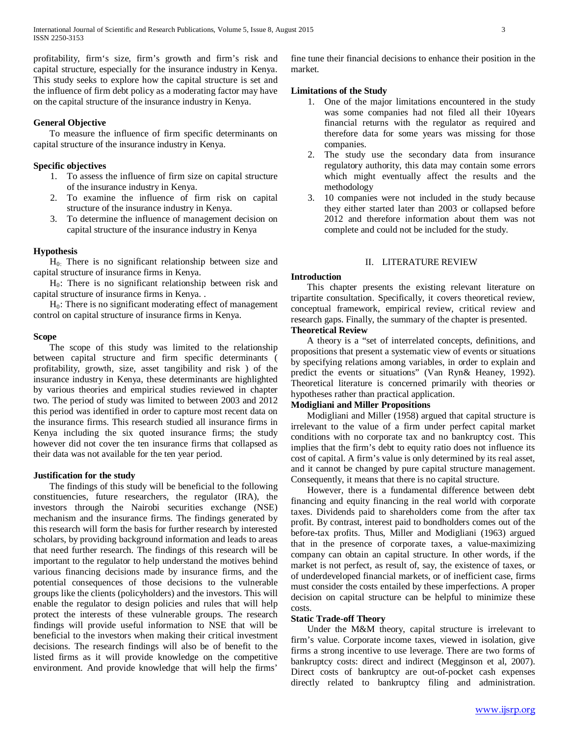profitability, firm's size, firm's growth and firm's risk and capital structure, especially for the insurance industry in Kenya. This study seeks to explore how the capital structure is set and the influence of firm debt policy as a moderating factor may have on the capital structure of the insurance industry in Kenya.

## **General Objective**

 To measure the influence of firm specific determinants on capital structure of the insurance industry in Kenya.

#### **Specific objectives**

- 1. To assess the influence of firm size on capital structure of the insurance industry in Kenya.
- 2. To examine the influence of firm risk on capital structure of the insurance industry in Kenya.
- 3. To determine the influence of management decision on capital structure of the insurance industry in Kenya

# **Hypothesis**

 $H<sub>0</sub>$ . There is no significant relationship between size and capital structure of insurance firms in Kenya.

 $H<sub>0</sub>$ : There is no significant relationship between risk and capital structure of insurance firms in Kenya. .

 $H<sub>0</sub>$ : There is no significant moderating effect of management control on capital structure of insurance firms in Kenya.

#### **Scope**

 The scope of this study was limited to the relationship between capital structure and firm specific determinants ( profitability, growth, size, asset tangibility and risk ) of the insurance industry in Kenya, these determinants are highlighted by various theories and empirical studies reviewed in chapter two. The period of study was limited to between 2003 and 2012 this period was identified in order to capture most recent data on the insurance firms. This research studied all insurance firms in Kenya including the six quoted insurance firms; the study however did not cover the ten insurance firms that collapsed as their data was not available for the ten year period.

#### **Justification for the study**

 The findings of this study will be beneficial to the following constituencies, future researchers, the regulator (IRA), the investors through the Nairobi securities exchange (NSE) mechanism and the insurance firms. The findings generated by this research will form the basis for further research by interested scholars, by providing background information and leads to areas that need further research. The findings of this research will be important to the regulator to help understand the motives behind various financing decisions made by insurance firms, and the potential consequences of those decisions to the vulnerable groups like the clients (policyholders) and the investors. This will enable the regulator to design policies and rules that will help protect the interests of these vulnerable groups. The research findings will provide useful information to NSE that will be beneficial to the investors when making their critical investment decisions. The research findings will also be of benefit to the listed firms as it will provide knowledge on the competitive environment. And provide knowledge that will help the firms'

fine tune their financial decisions to enhance their position in the market.

## **Limitations of the Study**

- 1. One of the major limitations encountered in the study was some companies had not filed all their 10years financial returns with the regulator as required and therefore data for some years was missing for those companies.
- 2. The study use the secondary data from insurance regulatory authority, this data may contain some errors which might eventually affect the results and the methodology
- 3. 10 companies were not included in the study because they either started later than 2003 or collapsed before 2012 and therefore information about them was not complete and could not be included for the study.

## II. LITERATURE REVIEW

#### **Introduction**

 This chapter presents the existing relevant literature on tripartite consultation. Specifically, it covers theoretical review, conceptual framework, empirical review, critical review and research gaps. Finally, the summary of the chapter is presented. **Theoretical Review**

 A theory is a "set of interrelated concepts, definitions, and propositions that present a systematic view of events or situations by specifying relations among variables, in order to explain and predict the events or situations" (Van Ryn& Heaney, 1992). Theoretical literature is concerned primarily with theories or hypotheses rather than practical application.

## **Modigliani and Miller Propositions**

 Modigliani and Miller (1958) argued that capital structure is irrelevant to the value of a firm under perfect capital market conditions with no corporate tax and no bankruptcy cost. This implies that the firm's debt to equity ratio does not influence its cost of capital. A firm's value is only determined by its real asset, and it cannot be changed by pure capital structure management. Consequently, it means that there is no capital structure.

 However, there is a fundamental difference between debt financing and equity financing in the real world with corporate taxes. Dividends paid to shareholders come from the after tax profit. By contrast, interest paid to bondholders comes out of the before-tax profits. Thus, Miller and Modigliani (1963) argued that in the presence of corporate taxes, a value-maximizing company can obtain an capital structure. In other words, if the market is not perfect, as result of, say, the existence of taxes, or of underdeveloped financial markets, or of inefficient case, firms must consider the costs entailed by these imperfections. A proper decision on capital structure can be helpful to minimize these costs.

## **Static Trade-off Theory**

 Under the M&M theory, capital structure is irrelevant to firm's value. Corporate income taxes, viewed in isolation, give firms a strong incentive to use leverage. There are two forms of bankruptcy costs: direct and indirect (Megginson et al, 2007). Direct costs of bankruptcy are out-of-pocket cash expenses directly related to bankruptcy filing and administration.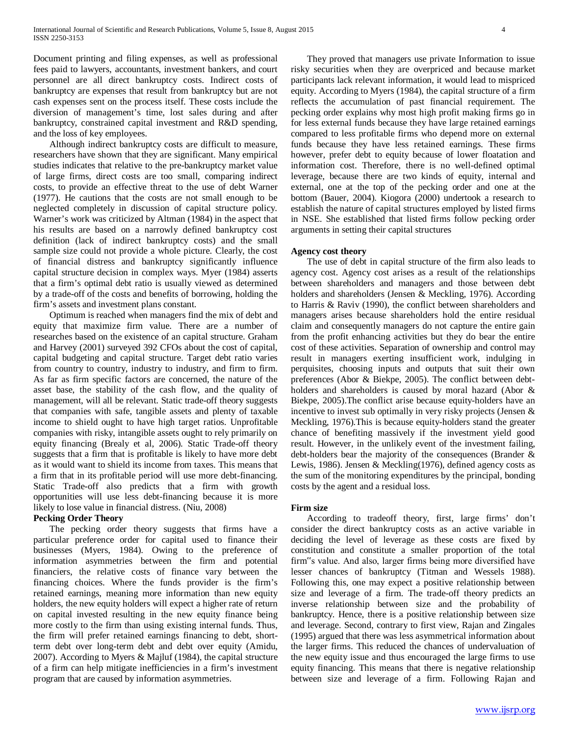Document printing and filing expenses, as well as professional fees paid to lawyers, accountants, investment bankers, and court personnel are all direct bankruptcy costs. Indirect costs of bankruptcy are expenses that result from bankruptcy but are not cash expenses sent on the process itself. These costs include the diversion of management's time, lost sales during and after bankruptcy, constrained capital investment and R&D spending, and the loss of key employees.

 Although indirect bankruptcy costs are difficult to measure, researchers have shown that they are significant. Many empirical studies indicates that relative to the pre-bankruptcy market value of large firms, direct costs are too small, comparing indirect costs, to provide an effective threat to the use of debt Warner (1977). He cautions that the costs are not small enough to be neglected completely in discussion of capital structure policy. Warner's work was criticized by Altman (1984) in the aspect that his results are based on a narrowly defined bankruptcy cost definition (lack of indirect bankruptcy costs) and the small sample size could not provide a whole picture. Clearly, the cost of financial distress and bankruptcy significantly influence capital structure decision in complex ways. Myer (1984) asserts that a firm's optimal debt ratio is usually viewed as determined by a trade-off of the costs and benefits of borrowing, holding the firm's assets and investment plans constant.

 Optimum is reached when managers find the mix of debt and equity that maximize firm value. There are a number of researches based on the existence of an capital structure. Graham and Harvey (2001) surveyed 392 CFOs about the cost of capital, capital budgeting and capital structure. Target debt ratio varies from country to country, industry to industry, and firm to firm. As far as firm specific factors are concerned, the nature of the asset base, the stability of the cash flow, and the quality of management, will all be relevant. Static trade-off theory suggests that companies with safe, tangible assets and plenty of taxable income to shield ought to have high target ratios. Unprofitable companies with risky, intangible assets ought to rely primarily on equity financing (Brealy et al, 2006). Static Trade-off theory suggests that a firm that is profitable is likely to have more debt as it would want to shield its income from taxes. This means that a firm that in its profitable period will use more debt-financing. Static Trade-off also predicts that a firm with growth opportunities will use less debt-financing because it is more likely to lose value in financial distress. (Niu, 2008)

## **Pecking Order Theory**

 The pecking order theory suggests that firms have a particular preference order for capital used to finance their businesses (Myers, 1984). Owing to the preference of information asymmetries between the firm and potential financiers, the relative costs of finance vary between the financing choices. Where the funds provider is the firm's retained earnings, meaning more information than new equity holders, the new equity holders will expect a higher rate of return on capital invested resulting in the new equity finance being more costly to the firm than using existing internal funds. Thus, the firm will prefer retained earnings financing to debt, shortterm debt over long-term debt and debt over equity (Amidu, 2007). According to Myers & Majluf (1984), the capital structure of a firm can help mitigate inefficiencies in a firm's investment program that are caused by information asymmetries.

 They proved that managers use private Information to issue risky securities when they are overpriced and because market participants lack relevant information, it would lead to mispriced equity. According to Myers (1984), the capital structure of a firm reflects the accumulation of past financial requirement. The pecking order explains why most high profit making firms go in for less external funds because they have large retained earnings compared to less profitable firms who depend more on external funds because they have less retained earnings. These firms however, prefer debt to equity because of lower floatation and information cost. Therefore, there is no well-defined optimal leverage, because there are two kinds of equity, internal and external, one at the top of the pecking order and one at the bottom (Bauer, 2004). Kiogora (2000) undertook a research to establish the nature of capital structures employed by listed firms in NSE. She established that listed firms follow pecking order arguments in setting their capital structures

#### **Agency cost theory**

 The use of debt in capital structure of the firm also leads to agency cost. Agency cost arises as a result of the relationships between shareholders and managers and those between debt holders and shareholders (Jensen & Meckling, 1976). According to Harris & Raviv (1990), the conflict between shareholders and managers arises because shareholders hold the entire residual claim and consequently managers do not capture the entire gain from the profit enhancing activities but they do bear the entire cost of these activities. Separation of ownership and control may result in managers exerting insufficient work, indulging in perquisites, choosing inputs and outputs that suit their own preferences (Abor & Biekpe, 2005). The conflict between debtholders and shareholders is caused by moral hazard (Abor & Biekpe, 2005).The conflict arise because equity-holders have an incentive to invest sub optimally in very risky projects (Jensen & Meckling, 1976).This is because equity-holders stand the greater chance of benefiting massively if the investment yield good result. However, in the unlikely event of the investment failing, debt-holders bear the majority of the consequences (Brander & Lewis, 1986). Jensen & Meckling(1976), defined agency costs as the sum of the monitoring expenditures by the principal, bonding costs by the agent and a residual loss.

#### **Firm size**

 According to tradeoff theory, first, large firms' don't consider the direct bankruptcy costs as an active variable in deciding the level of leverage as these costs are fixed by constitution and constitute a smaller proportion of the total firm"s value. And also, larger firms being more diversified have lesser chances of bankruptcy (Titman and Wessels 1988). Following this, one may expect a positive relationship between size and leverage of a firm. The trade-off theory predicts an inverse relationship between size and the probability of bankruptcy. Hence, there is a positive relationship between size and leverage. Second, contrary to first view, Rajan and Zingales (1995) argued that there was less asymmetrical information about the larger firms. This reduced the chances of undervaluation of the new equity issue and thus encouraged the large firms to use equity financing. This means that there is negative relationship between size and leverage of a firm. Following Rajan and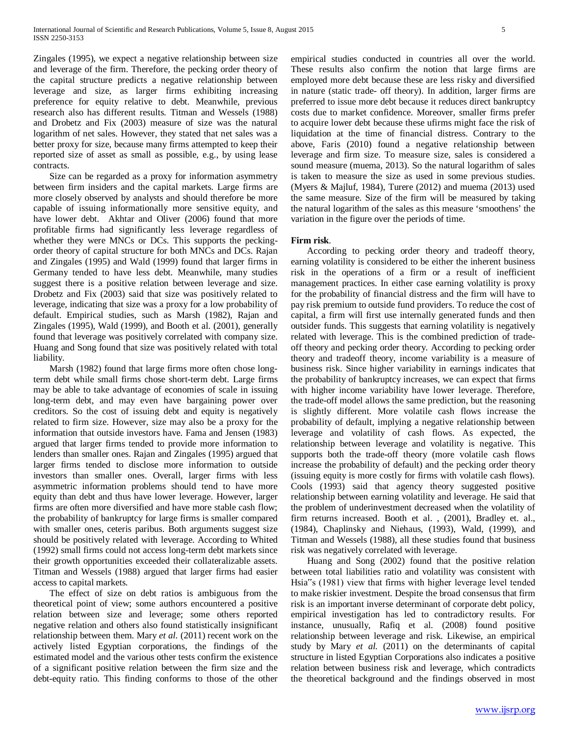Zingales (1995), we expect a negative relationship between size and leverage of the firm. Therefore, the pecking order theory of the capital structure predicts a negative relationship between leverage and size, as larger firms exhibiting increasing preference for equity relative to debt. Meanwhile, previous research also has different results. Titman and Wessels (1988) and Drobetz and Fix (2003) measure of size was the natural logarithm of net sales. However, they stated that net sales was a better proxy for size, because many firms attempted to keep their reported size of asset as small as possible, e.g., by using lease contracts.

 Size can be regarded as a proxy for information asymmetry between firm insiders and the capital markets. Large firms are more closely observed by analysts and should therefore be more capable of issuing informationally more sensitive equity, and have lower debt. Akhtar and Oliver (2006) found that more profitable firms had significantly less leverage regardless of whether they were MNCs or DCs. This supports the peckingorder theory of capital structure for both MNCs and DCs. Rajan and Zingales (1995) and Wald (1999) found that larger firms in Germany tended to have less debt. Meanwhile, many studies suggest there is a positive relation between leverage and size. Drobetz and Fix (2003) said that size was positively related to leverage, indicating that size was a proxy for a low probability of default. Empirical studies, such as Marsh (1982), Rajan and Zingales (1995), Wald (1999), and Booth et al. (2001), generally found that leverage was positively correlated with company size. Huang and Song found that size was positively related with total liability.

 Marsh (1982) found that large firms more often chose longterm debt while small firms chose short-term debt. Large firms may be able to take advantage of economies of scale in issuing long-term debt, and may even have bargaining power over creditors. So the cost of issuing debt and equity is negatively related to firm size. However, size may also be a proxy for the information that outside investors have. Fama and Jensen (1983) argued that larger firms tended to provide more information to lenders than smaller ones. Rajan and Zingales (1995) argued that larger firms tended to disclose more information to outside investors than smaller ones. Overall, larger firms with less asymmetric information problems should tend to have more equity than debt and thus have lower leverage. However, larger firms are often more diversified and have more stable cash flow; the probability of bankruptcy for large firms is smaller compared with smaller ones, ceteris paribus. Both arguments suggest size should be positively related with leverage. According to Whited (1992) small firms could not access long-term debt markets since their growth opportunities exceeded their collateralizable assets. Titman and Wessels (1988) argued that larger firms had easier access to capital markets.

 The effect of size on debt ratios is ambiguous from the theoretical point of view; some authors encountered a positive relation between size and leverage; some others reported negative relation and others also found statistically insignificant relationship between them. Mary *et al.* (2011) recent work on the actively listed Egyptian corporations, the findings of the estimated model and the various other tests confirm the existence of a significant positive relation between the firm size and the debt-equity ratio. This finding conforms to those of the other empirical studies conducted in countries all over the world. These results also confirm the notion that large firms are employed more debt because these are less risky and diversified in nature (static trade- off theory). In addition, larger firms are preferred to issue more debt because it reduces direct bankruptcy costs due to market confidence. Moreover, smaller firms prefer to acquire lower debt because these ufirms might face the risk of liquidation at the time of financial distress. Contrary to the above, Faris (2010) found a negative relationship between leverage and firm size. To measure size, sales is considered a sound measure (muema, 2013). So the natural logarithm of sales is taken to measure the size as used in some previous studies. (Myers & Majluf, 1984), Turere (2012) and muema (2013) used the same measure. Size of the firm will be measured by taking the natural logarithm of the sales as this measure 'smoothens' the variation in the figure over the periods of time.

## **Firm risk**.

 According to pecking order theory and tradeoff theory, earning volatility is considered to be either the inherent business risk in the operations of a firm or a result of inefficient management practices. In either case earning volatility is proxy for the probability of financial distress and the firm will have to pay risk premium to outside fund providers. To reduce the cost of capital, a firm will first use internally generated funds and then outsider funds. This suggests that earning volatility is negatively related with leverage. This is the combined prediction of tradeoff theory and pecking order theory. According to pecking order theory and tradeoff theory, income variability is a measure of business risk. Since higher variability in earnings indicates that the probability of bankruptcy increases, we can expect that firms with higher income variability have lower leverage. Therefore, the trade-off model allows the same prediction, but the reasoning is slightly different. More volatile cash flows increase the probability of default, implying a negative relationship between leverage and volatility of cash flows. As expected, the relationship between leverage and volatility is negative. This supports both the trade-off theory (more volatile cash flows increase the probability of default) and the pecking order theory (issuing equity is more costly for firms with volatile cash flows). Cools (1993) said that agency theory suggested positive relationship between earning volatility and leverage. He said that the problem of underinvestment decreased when the volatility of firm returns increased. Booth et al. , (2001), Bradley et. al., (1984), Chaplinsky and Niehaus, (1993), Wald, (1999), and Titman and Wessels (1988), all these studies found that business risk was negatively correlated with leverage.

 Huang and Song (2002) found that the positive relation between total liabilities ratio and volatility was consistent with Hsia"s (1981) view that firms with higher leverage level tended to make riskier investment. Despite the broad consensus that firm risk is an important inverse determinant of corporate debt policy, empirical investigation has led to contradictory results. For instance, unusually, Rafiq et al*.* (2008) found positive relationship between leverage and risk. Likewise, an empirical study by Mary *et al.* (2011) on the determinants of capital structure in listed Egyptian Corporations also indicates a positive relation between business risk and leverage, which contradicts the theoretical background and the findings observed in most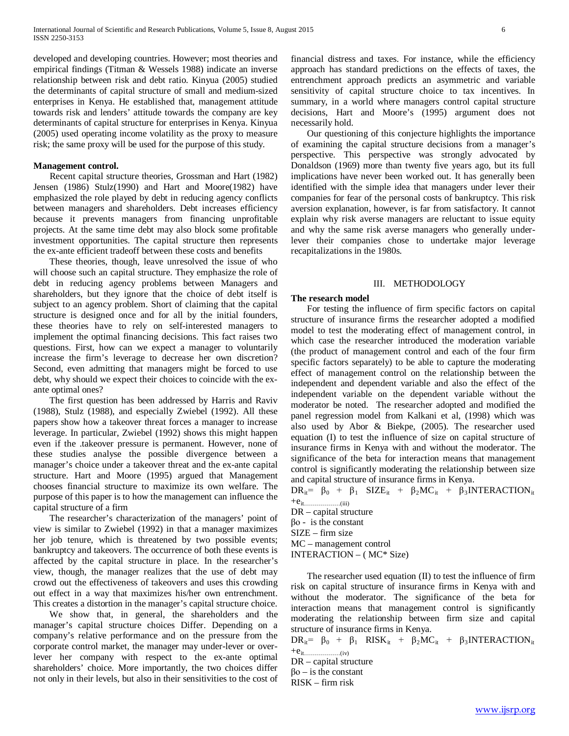developed and developing countries. However; most theories and empirical findings (Titman & Wessels 1988) indicate an inverse relationship between risk and debt ratio. Kinyua (2005) studied the determinants of capital structure of small and medium-sized enterprises in Kenya. He established that, management attitude towards risk and lenders' attitude towards the company are key determinants of capital structure for enterprises in Kenya. Kinyua (2005) used operating income volatility as the proxy to measure risk; the same proxy will be used for the purpose of this study.

#### **Management control.**

 Recent capital structure theories, Grossman and Hart (1982) Jensen (1986) Stulz(1990) and Hart and Moore(1982) have emphasized the role played by debt in reducing agency conflicts between managers and shareholders. Debt increases efficiency because it prevents managers from financing unprofitable projects. At the same time debt may also block some profitable investment opportunities. The capital structure then represents the ex-ante efficient tradeoff between these costs and benefits

 These theories, though, leave unresolved the issue of who will choose such an capital structure. They emphasize the role of debt in reducing agency problems between Managers and shareholders, but they ignore that the choice of debt itself is subject to an agency problem. Short of claiming that the capital structure is designed once and for all by the initial founders, these theories have to rely on self-interested managers to implement the optimal financing decisions. This fact raises two questions. First, how can we expect a manager to voluntarily increase the firm's leverage to decrease her own discretion? Second, even admitting that managers might be forced to use debt, why should we expect their choices to coincide with the exante optimal ones?

 The first question has been addressed by Harris and Raviv (1988), Stulz (1988), and especially Zwiebel (1992). All these papers show how a takeover threat forces a manager to increase leverage. In particular, Zwiebel (1992) shows this might happen even if the .takeover pressure is permanent. However, none of these studies analyse the possible divergence between a manager's choice under a takeover threat and the ex-ante capital structure. Hart and Moore (1995) argued that Management chooses financial structure to maximize its own welfare. The purpose of this paper is to how the management can influence the capital structure of a firm

 The researcher's characterization of the managers' point of view is similar to Zwiebel (1992) in that a manager maximizes her job tenure, which is threatened by two possible events; bankruptcy and takeovers. The occurrence of both these events is affected by the capital structure in place. In the researcher's view, though, the manager realizes that the use of debt may crowd out the effectiveness of takeovers and uses this crowding out effect in a way that maximizes his/her own entrenchment. This creates a distortion in the manager's capital structure choice.

 We show that, in general, the shareholders and the manager's capital structure choices Differ. Depending on a company's relative performance and on the pressure from the corporate control market, the manager may under-lever or overlever her company with respect to the ex-ante optimal shareholders' choice. More importantly, the two choices differ not only in their levels, but also in their sensitivities to the cost of financial distress and taxes. For instance, while the efficiency approach has standard predictions on the effects of taxes, the entrenchment approach predicts an asymmetric and variable sensitivity of capital structure choice to tax incentives. In summary, in a world where managers control capital structure decisions, Hart and Moore's (1995) argument does not necessarily hold.

 Our questioning of this conjecture highlights the importance of examining the capital structure decisions from a manager's perspective. This perspective was strongly advocated by Donaldson (1969) more than twenty five years ago, but its full implications have never been worked out. It has generally been identified with the simple idea that managers under lever their companies for fear of the personal costs of bankruptcy. This risk aversion explanation, however, is far from satisfactory. It cannot explain why risk averse managers are reluctant to issue equity and why the same risk averse managers who generally underlever their companies chose to undertake major leverage recapitalizations in the 1980s.

## III. METHODOLOGY

#### **The research model**

 For testing the influence of firm specific factors on capital structure of insurance firms the researcher adopted a modified model to test the moderating effect of management control, in which case the researcher introduced the moderation variable (the product of management control and each of the four firm specific factors separately) to be able to capture the moderating effect of management control on the relationship between the independent and dependent variable and also the effect of the independent variable on the dependent variable without the moderator be noted. The researcher adopted and modified the panel regression model from Kalkani et al, (1998) which was also used by Abor & Biekpe, (2005). The researcher used equation (I) to test the influence of size on capital structure of insurance firms in Kenya with and without the moderator. The significance of the beta for interaction means that management control is significantly moderating the relationship between size and capital structure of insurance firms in Kenya.

 $DR_{it} = \beta_0 + \beta_1$  SIZE<sub>it</sub> +  $\beta_2MC_{it}$  +  $\beta_3$ INTERACTION<sub>it</sub>  $+e_{it...}\dots\dots\dots\dots(iii)}$ 

DR – capital structure βο - is the constant SIZE – firm size MC – management control INTERACTION – ( MC\* Size)

 The researcher used equation (II) to test the influence of firm risk on capital structure of insurance firms in Kenya with and without the moderator. The significance of the beta for interaction means that management control is significantly moderating the relationship between firm size and capital structure of insurance firms in Kenya.

 $DR_{it} = \beta_0 + \beta_1$  RISK<sub>it</sub> +  $\beta_2MC_{it}$  +  $\beta_3$ INTERACTION<sub>it</sub>  $+e_{it}\dots\dots\dots\dots\dots\dots}$ 

DR – capital structure

 $βo – is the constant$ RISK – firm risk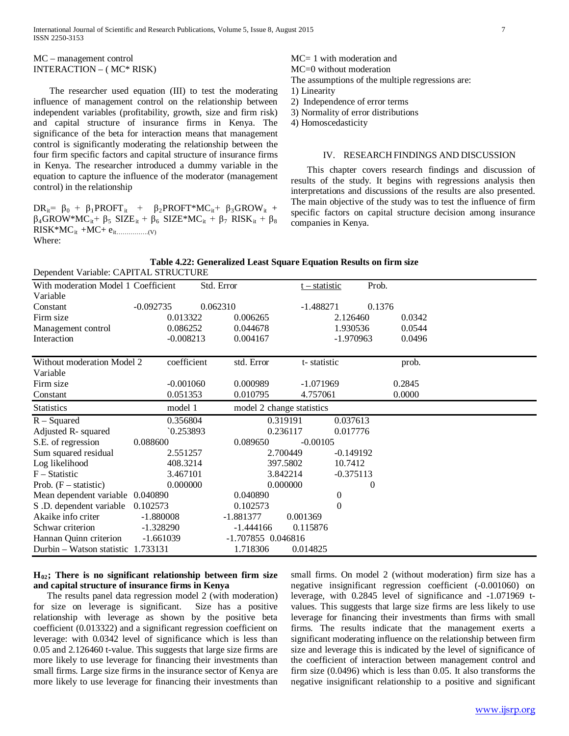#### MC – management control INTERACTION – ( MC\* RISK)

 The researcher used equation (III) to test the moderating influence of management control on the relationship between independent variables (profitability, growth, size and firm risk) and capital structure of insurance firms in Kenya. The significance of the beta for interaction means that management control is significantly moderating the relationship between the four firm specific factors and capital structure of insurance firms in Kenya. The researcher introduced a dummy variable in the equation to capture the influence of the moderator (management control) in the relationship

 $DR_{it} = \beta_0 + \beta_1 PROFT_{it} + \beta_2 PROFT^*MC_{it} + \beta_3 GROW_{it} +$  $\beta_4$ GROW\*MC<sub>it</sub>+  $\beta_5$  SIZE<sub>it</sub> +  $\beta_6$  SIZE\*MC<sub>it</sub> +  $\beta_7$  RISK<sub>it</sub> +  $\beta_8$ RISK\*MCit +MC+ eit…………….(V) Where:

- 3) Normality of error distributions
- 4) Homoscedasticity

#### IV. RESEARCH FINDINGS AND DISCUSSION

 This chapter covers research findings and discussion of results of the study. It begins with regressions analysis then interpretations and discussions of the results are also presented. The main objective of the study was to test the influence of firm specific factors on capital structure decision among insurance companies in Kenya.

|                  | Table 4.22: Generalized Least Square Equation Results on firm size |  |  |
|------------------|--------------------------------------------------------------------|--|--|
| <b>STRICTURE</b> |                                                                    |  |  |

| Dependent Variable: CAPITAL STRUCTURE |             |                    |                           |                |          |  |
|---------------------------------------|-------------|--------------------|---------------------------|----------------|----------|--|
| With moderation Model 1 Coefficient   |             | Std. Error         | <u>t – statistic</u>      |                | Prob.    |  |
| Variable                              |             |                    |                           |                |          |  |
| Constant                              | $-0.092735$ | 0.062310           | $-1.488271$               |                | 0.1376   |  |
| Firm size                             | 0.013322    | 0.006265           |                           | 2.126460       | 0.0342   |  |
| Management control                    | 0.086252    | 0.044678           |                           | 1.930536       | 0.0544   |  |
| Interaction                           | $-0.008213$ | 0.004167           |                           | $-1.970963$    | 0.0496   |  |
|                                       |             |                    |                           |                |          |  |
| Without moderation Model 2            | coefficient | std. Error         | t-statistic               |                | prob.    |  |
| Variable                              |             |                    |                           |                |          |  |
| Firm size                             | $-0.001060$ | 0.000989           | $-1.071969$               |                | 0.2845   |  |
| Constant                              | 0.051353    | 0.010795           | 4.757061                  |                | 0.0000   |  |
| <b>Statistics</b>                     | model 1     |                    | model 2 change statistics |                |          |  |
| $R - Squared$                         | 0.356804    |                    | 0.319191                  | 0.037613       |          |  |
| Adjusted R- squared                   | 0.253893    |                    | 0.236117                  | 0.017776       |          |  |
| S.E. of regression                    | 0.088600    | 0.089650           | $-0.00105$                |                |          |  |
| Sum squared residual                  | 2.551257    |                    | 2.700449                  | $-0.149192$    |          |  |
| Log likelihood                        | 408.3214    |                    | 397.5802                  | 10.7412        |          |  |
| $F - Statistic$                       | 3.467101    |                    | 3.842214                  | $-0.375113$    |          |  |
| Prob. $(F - statistic)$               | 0.000000    |                    | 0.000000                  |                | $\theta$ |  |
| Mean dependent variable 0.040890      |             | 0.040890           |                           | 0              |          |  |
| S .D. dependent variable              | 0.102573    | 0.102573           |                           | $\overline{0}$ |          |  |
| Akaike info criter                    | $-1.880008$ | $-1.881377$        | 0.001369                  |                |          |  |
| Schwar criterion                      | $-1.328290$ | $-1.444166$        | 0.115876                  |                |          |  |
| Hannan Quinn criterion                | $-1.661039$ | -1.707855 0.046816 |                           |                |          |  |
| Durbin – Watson statistic 1.733131    |             | 1.718306           | 0.014825                  |                |          |  |

## **H02; There is no significant relationship between firm size and capital structure of insurance firms in Kenya**

 The results panel data regression model 2 (with moderation) for size on leverage is significant. Size has a positive relationship with leverage as shown by the positive beta coefficient (0.013322) and a significant regression coefficient on leverage: with 0.0342 level of significance which is less than 0.05 and 2.126460 t-value. This suggests that large size firms are more likely to use leverage for financing their investments than small firms. Large size firms in the insurance sector of Kenya are more likely to use leverage for financing their investments than

small firms. On model 2 (without moderation) firm size has a negative insignificant regression coefficient (-0.001060) on leverage, with 0.2845 level of significance and -1.071969 tvalues. This suggests that large size firms are less likely to use leverage for financing their investments than firms with small firms. The results indicate that the management exerts a significant moderating influence on the relationship between firm size and leverage this is indicated by the level of significance of the coefficient of interaction between management control and firm size (0.0496) which is less than 0.05. It also transforms the negative insignificant relationship to a positive and significant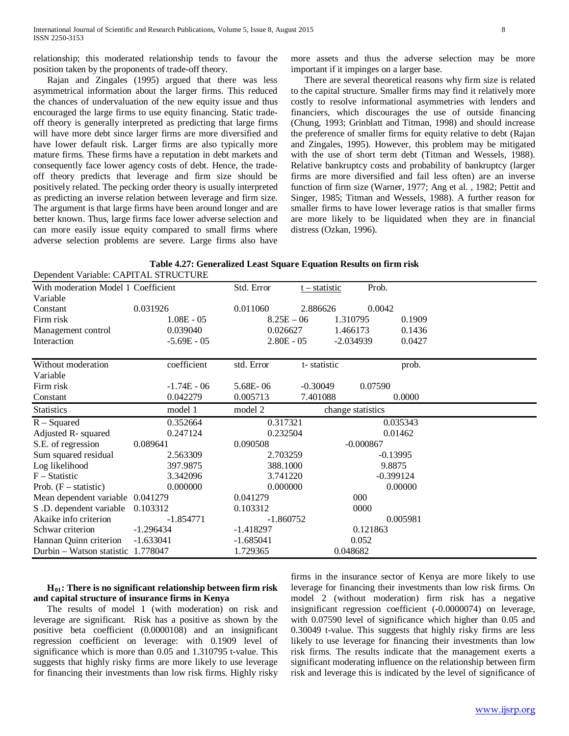Rajan and Zingales (1995) argued that there was less asymmetrical information about the larger firms. This reduced the chances of undervaluation of the new equity issue and thus encouraged the large firms to use equity financing. Static tradeoff theory is generally interpreted as predicting that large firms will have more debt since larger firms are more diversified and have lower default risk. Larger firms are also typically more mature firms. These firms have a reputation in debt markets and consequently face lower agency costs of debt. Hence, the tradeoff theory predicts that leverage and firm size should be positively related. The pecking order theory is usually interpreted as predicting an inverse relation between leverage and firm size. The argument is that large firms have been around longer and are better known. Thus, large firms face lower adverse selection and can more easily issue equity compared to small firms where adverse selection problems are severe. Large firms also have

more assets and thus the adverse selection may be more important if it impinges on a larger base.

 There are several theoretical reasons why firm size is related to the capital structure. Smaller firms may find it relatively more costly to resolve informational asymmetries with lenders and financiers, which discourages the use of outside financing (Chung, 1993; Grinblatt and Titman, 1998) and should increase the preference of smaller firms for equity relative to debt (Rajan and Zingales, 1995). However, this problem may be mitigated with the use of short term debt (Titman and Wessels, 1988). Relative bankruptcy costs and probability of bankruptcy (larger firms are more diversified and fail less often) are an inverse function of firm size (Warner, 1977; Ang et al. , 1982; Pettit and Singer, 1985; Titman and Wessels, 1988). A further reason for smaller firms to have lower leverage ratios is that smaller firms are more likely to be liquidated when they are in financial distress (Ozkan, 1996).

|                                       | Table 4.27: Generalized Least Square Equation Results on firm risk |
|---------------------------------------|--------------------------------------------------------------------|
| Dependent Verichle: CADITAI STDUCTUDE |                                                                    |

| Dependent Variable. CATTTAL STRUCTURE |               |              |                 |                   |             |
|---------------------------------------|---------------|--------------|-----------------|-------------------|-------------|
| With moderation Model 1 Coefficient   |               | Std. Error   | $t - statistic$ | Prob.             |             |
| Variable                              |               |              |                 |                   |             |
| Constant                              | 0.031926      | 0.011060     | 2.886626        | 0.0042            |             |
| Firm risk                             | $1.08E - 05$  | $8.25E - 06$ |                 | 1.310795          | 0.1909      |
| Management control                    | 0.039040      | 0.026627     |                 | 1.466173          | 0.1436      |
| Interaction                           | $-5.69E - 05$ | $2.80E - 05$ |                 | $-2.034939$       | 0.0427      |
|                                       |               |              |                 |                   |             |
| Without moderation                    | coefficient   | std. Error   | t-statistic     |                   | prob.       |
| Variable                              |               |              |                 |                   |             |
| Firm risk                             | $-1.74E - 06$ | 5.68E-06     | $-0.30049$      | 0.07590           |             |
| Constant                              | 0.042279      | 0.005713     | 7.401088        |                   | 0.0000      |
| <b>Statistics</b>                     | model 1       | model 2      |                 | change statistics |             |
| $R - Squared$                         | 0.352664      | 0.317321     |                 |                   | 0.035343    |
| Adjusted R- squared                   | 0.247124      | 0.232504     |                 |                   | 0.01462     |
| S.E. of regression                    | 0.089641      | 0.090508     |                 | $-0.000867$       |             |
| Sum squared residual                  | 2.563309      | 2.703259     |                 | $-0.13995$        |             |
| Log likelihood                        | 397.9875      | 388.1000     |                 | 9.8875            |             |
| $F - Statistic$                       | 3.342096      | 3.741220     |                 |                   | $-0.399124$ |
| Prob. $(F - statistic)$               | 0.000000      | 0.000000     |                 |                   | 0.00000     |
| Mean dependent variable 0.041279      |               | 0.041279     |                 | 000               |             |
| S.D. dependent variable               | 0.103312      | 0.103312     |                 | 0000              |             |
| Akaike info criterion                 | $-1.854771$   | $-1.860752$  |                 |                   | 0.005981    |
| Schwar criterion                      | $-1.296434$   | $-1.418297$  |                 | 0.121863          |             |
| Hannan Quinn criterion                | $-1.633041$   | $-1.685041$  |                 | 0.052             |             |
| Durbin - Watson statistic 1.778047    |               | 1.729365     |                 | 0.048682          |             |

## **H01: There is no significant relationship between firm risk and capital structure of insurance firms in Kenya**

The results of model 1 (with moderation) on risk and leverage are significant. Risk has a positive as shown by the positive beta coefficient (0.0000108) and an insignificant regression coefficient on leverage: with 0.1909 level of significance which is more than 0.05 and 1.310795 t-value. This suggests that highly risky firms are more likely to use leverage for financing their investments than low risk firms. Highly risky

firms in the insurance sector of Kenya are more likely to use leverage for financing their investments than low risk firms. On model 2 (without moderation) firm risk has a negative insignificant regression coefficient (-0.0000074) on leverage, with 0.07590 level of significance which higher than 0.05 and 0.30049 t-value. This suggests that highly risky firms are less likely to use leverage for financing their investments than low risk firms. The results indicate that the management exerts a significant moderating influence on the relationship between firm risk and leverage this is indicated by the level of significance of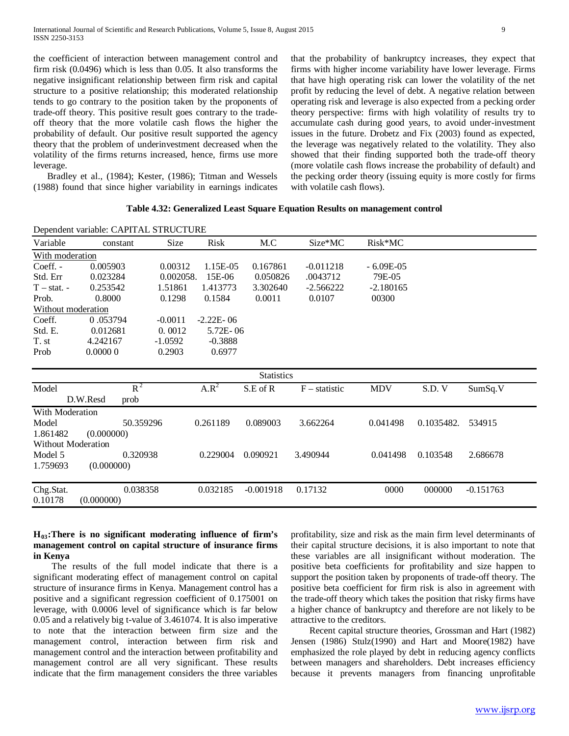the coefficient of interaction between management control and firm risk (0.0496) which is less than 0.05. It also transforms the negative insignificant relationship between firm risk and capital structure to a positive relationship; this moderated relationship tends to go contrary to the position taken by the proponents of trade-off theory. This positive result goes contrary to the tradeoff theory that the more volatile cash flows the higher the probability of default. Our positive result supported the agency theory that the problem of underinvestment decreased when the volatility of the firms returns increased, hence, firms use more leverage.

Bradley et al., (1984); Kester, (1986); Titman and Wessels (1988) found that since higher variability in earnings indicates that the probability of bankruptcy increases, they expect that firms with higher income variability have lower leverage. Firms that have high operating risk can lower the volatility of the net profit by reducing the level of debt. A negative relation between operating risk and leverage is also expected from a pecking order theory perspective: firms with high volatility of results try to accumulate cash during good years, to avoid under-investment issues in the future. Drobetz and Fix (2003) found as expected, the leverage was negatively related to the volatility. They also showed that their finding supported both the trade-off theory (more volatile cash flows increase the probability of default) and the pecking order theory (issuing equity is more costly for firms with volatile cash flows).

## **Table 4.32: Generalized Least Square Equation Results on management control**

|                    | Dependent variable: CAPITAL STRUCTURE |           |               |             |                 |             |            |             |  |
|--------------------|---------------------------------------|-----------|---------------|-------------|-----------------|-------------|------------|-------------|--|
| Variable           | constant                              | Size      | Risk          | M.C         | Size*MC         | $Risk*MC$   |            |             |  |
| With moderation    |                                       |           |               |             |                 |             |            |             |  |
| Coeff. -           | 0.005903                              | 0.00312   | 1.15E-05      | 0.167861    | $-0.011218$     | $-6.09E-05$ |            |             |  |
| Std. Err           | 0.023284                              | 0.002058. | 15E-06        | 0.050826    | .0043712        | 79E-05      |            |             |  |
| $T - stat.$        | 0.253542                              | 1.51861   | 1.413773      | 3.302640    | $-2.566222$     | $-2.180165$ |            |             |  |
| Prob.              | 0.8000                                | 0.1298    | 0.1584        | 0.0011      | 0.0107          | 00300       |            |             |  |
| Without moderation |                                       |           |               |             |                 |             |            |             |  |
| Coeff.             | 0.053794                              | $-0.0011$ | $-2.22E - 06$ |             |                 |             |            |             |  |
| Std. E.            | 0.012681                              | 0.0012    | 5.72E-06      |             |                 |             |            |             |  |
| T. st              | 4.242167                              | $-1.0592$ | $-0.3888$     |             |                 |             |            |             |  |
| Prob               | 0.00000                               | 0.2903    | 0.6977        |             |                 |             |            |             |  |
|                    |                                       |           |               |             |                 |             |            |             |  |
| <b>Statistics</b>  |                                       |           |               |             |                 |             |            |             |  |
| Model              | $R^2$                                 |           | $A.R^2$       | S.E of R    | $F -$ statistic | <b>MDV</b>  | S.D.V      | SumSq.V     |  |
|                    | D.W.Resd<br>prob                      |           |               |             |                 |             |            |             |  |
| With Moderation    |                                       |           |               |             |                 |             |            |             |  |
| Model              | 50.359296                             |           | 0.261189      | 0.089003    | 3.662264        | 0.041498    | 0.1035482. | 534915      |  |
| 1.861482           | (0.000000)                            |           |               |             |                 |             |            |             |  |
| Without Moderation |                                       |           |               |             |                 |             |            |             |  |
| Model 5            | 0.320938                              |           | 0.229004      | 0.090921    | 3.490944        | 0.041498    | 0.103548   | 2.686678    |  |
| 1.759693           | (0.000000)                            |           |               |             |                 |             |            |             |  |
|                    |                                       |           |               |             |                 |             |            |             |  |
|                    |                                       |           |               |             |                 |             |            |             |  |
| Chg.Stat.          | 0.038358                              |           | 0.032185      | $-0.001918$ | 0.17132         | 0000        | 000000     | $-0.151763$ |  |
| 0.10178            | (0.000000)                            |           |               |             |                 |             |            |             |  |

## **H03:There is no significant moderating influence of firm's management control on capital structure of insurance firms in Kenya**

 The results of the full model indicate that there is a significant moderating effect of management control on capital structure of insurance firms in Kenya. Management control has a positive and a significant regression coefficient of 0.175001 on leverage, with 0.0006 level of significance which is far below 0.05 and a relatively big t-value of 3.461074. It is also imperative to note that the interaction between firm size and the management control, interaction between firm risk and management control and the interaction between profitability and management control are all very significant. These results indicate that the firm management considers the three variables

profitability, size and risk as the main firm level determinants of their capital structure decisions, it is also important to note that these variables are all insignificant without moderation. The positive beta coefficients for profitability and size happen to support the position taken by proponents of trade-off theory. The positive beta coefficient for firm risk is also in agreement with the trade-off theory which takes the position that risky firms have a higher chance of bankruptcy and therefore are not likely to be attractive to the creditors.

 Recent capital structure theories, Grossman and Hart (1982) Jensen (1986) Stulz(1990) and Hart and Moore(1982) have emphasized the role played by debt in reducing agency conflicts between managers and shareholders. Debt increases efficiency because it prevents managers from financing unprofitable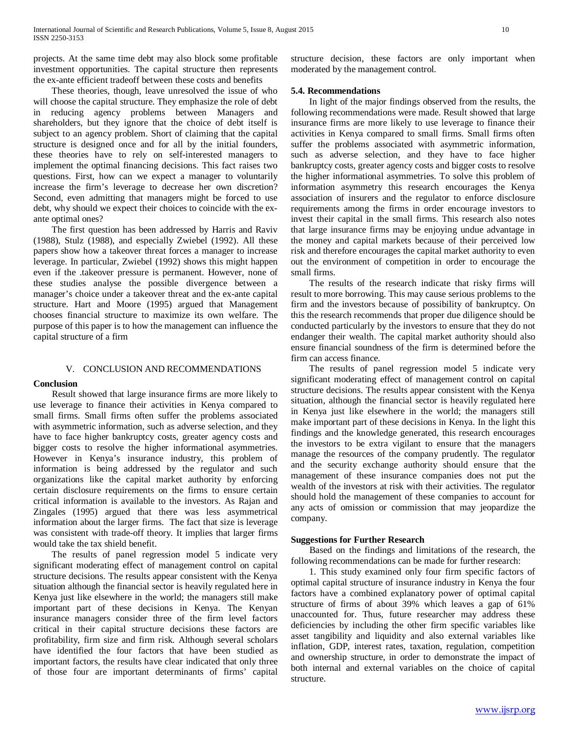projects. At the same time debt may also block some profitable investment opportunities. The capital structure then represents the ex-ante efficient tradeoff between these costs and benefits

 These theories, though, leave unresolved the issue of who will choose the capital structure. They emphasize the role of debt in reducing agency problems between Managers and shareholders, but they ignore that the choice of debt itself is subject to an agency problem. Short of claiming that the capital structure is designed once and for all by the initial founders, these theories have to rely on self-interested managers to implement the optimal financing decisions. This fact raises two questions. First, how can we expect a manager to voluntarily increase the firm's leverage to decrease her own discretion? Second, even admitting that managers might be forced to use debt, why should we expect their choices to coincide with the exante optimal ones?

 The first question has been addressed by Harris and Raviv (1988), Stulz (1988), and especially Zwiebel (1992). All these papers show how a takeover threat forces a manager to increase leverage. In particular, Zwiebel (1992) shows this might happen even if the .takeover pressure is permanent. However, none of these studies analyse the possible divergence between a manager's choice under a takeover threat and the ex-ante capital structure. Hart and Moore (1995) argued that Management chooses financial structure to maximize its own welfare. The purpose of this paper is to how the management can influence the capital structure of a firm

## V. CONCLUSION AND RECOMMENDATIONS

#### **Conclusion**

 Result showed that large insurance firms are more likely to use leverage to finance their activities in Kenya compared to small firms. Small firms often suffer the problems associated with asymmetric information, such as adverse selection, and they have to face higher bankruptcy costs, greater agency costs and bigger costs to resolve the higher informational asymmetries. However in Kenya's insurance industry, this problem of information is being addressed by the regulator and such organizations like the capital market authority by enforcing certain disclosure requirements on the firms to ensure certain critical information is available to the investors. As Rajan and Zingales (1995) argued that there was less asymmetrical information about the larger firms. The fact that size is leverage was consistent with trade-off theory. It implies that larger firms would take the tax shield benefit.

 The results of panel regression model 5 indicate very significant moderating effect of management control on capital structure decisions. The results appear consistent with the Kenya situation although the financial sector is heavily regulated here in Kenya just like elsewhere in the world; the managers still make important part of these decisions in Kenya. The Kenyan insurance managers consider three of the firm level factors critical in their capital structure decisions these factors are profitability, firm size and firm risk. Although several scholars have identified the four factors that have been studied as important factors, the results have clear indicated that only three of those four are important determinants of firms' capital structure decision, these factors are only important when moderated by the management control.

## **5.4. Recommendations**

 In light of the major findings observed from the results, the following recommendations were made. Result showed that large insurance firms are more likely to use leverage to finance their activities in Kenya compared to small firms. Small firms often suffer the problems associated with asymmetric information, such as adverse selection, and they have to face higher bankruptcy costs, greater agency costs and bigger costs to resolve the higher informational asymmetries. To solve this problem of information asymmetry this research encourages the Kenya association of insurers and the regulator to enforce disclosure requirements among the firms in order encourage investors to invest their capital in the small firms. This research also notes that large insurance firms may be enjoying undue advantage in the money and capital markets because of their perceived low risk and therefore encourages the capital market authority to even out the environment of competition in order to encourage the small firms.

 The results of the research indicate that risky firms will result to more borrowing. This may cause serious problems to the firm and the investors because of possibility of bankruptcy. On this the research recommends that proper due diligence should be conducted particularly by the investors to ensure that they do not endanger their wealth. The capital market authority should also ensure financial soundness of the firm is determined before the firm can access finance.

 The results of panel regression model 5 indicate very significant moderating effect of management control on capital structure decisions. The results appear consistent with the Kenya situation, although the financial sector is heavily regulated here in Kenya just like elsewhere in the world; the managers still make important part of these decisions in Kenya. In the light this findings and the knowledge generated, this research encourages the investors to be extra vigilant to ensure that the managers manage the resources of the company prudently. The regulator and the security exchange authority should ensure that the management of these insurance companies does not put the wealth of the investors at risk with their activities. The regulator should hold the management of these companies to account for any acts of omission or commission that may jeopardize the company.

#### **Suggestions for Further Research**

 Based on the findings and limitations of the research, the following recommendations can be made for further research:

 1. This study examined only four firm specific factors of optimal capital structure of insurance industry in Kenya the four factors have a combined explanatory power of optimal capital structure of firms of about 39% which leaves a gap of 61% unaccounted for. Thus, future researcher may address these deficiencies by including the other firm specific variables like asset tangibility and liquidity and also external variables like inflation, GDP, interest rates, taxation, regulation, competition and ownership structure, in order to demonstrate the impact of both internal and external variables on the choice of capital structure.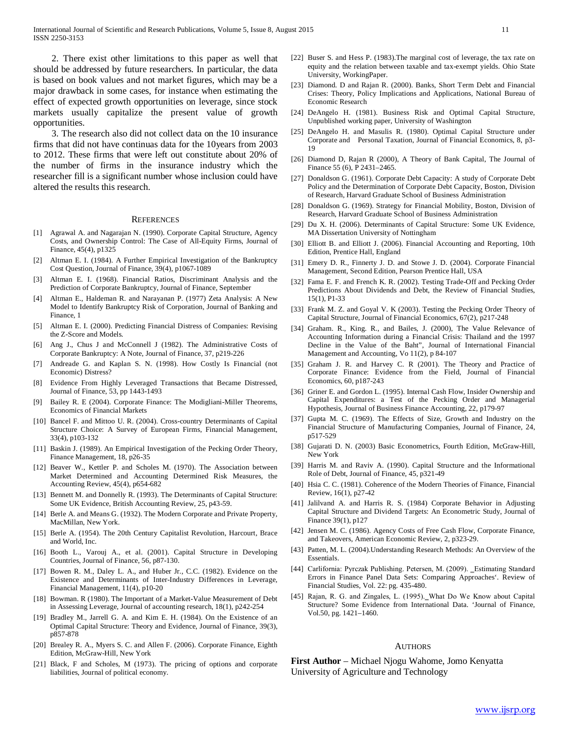2. There exist other limitations to this paper as well that should be addressed by future researchers. In particular, the data is based on book values and not market figures, which may be a major drawback in some cases, for instance when estimating the effect of expected growth opportunities on leverage, since stock markets usually capitalize the present value of growth opportunities.

 3. The research also did not collect data on the 10 insurance firms that did not have continuas data for the 10years from 2003 to 2012. These firms that were left out constitute about 20% of the number of firms in the insurance industry which the researcher fill is a significant number whose inclusion could have altered the results this research.

#### **REFERENCES**

- [1] Agrawal A. and Nagarajan N. (1990). Corporate Capital Structure, Agency Costs, and Ownership Control: The Case of All-Equity Firms, Journal of Finance, 45(4), p1325
- [2] Altman E. I. (1984). A Further Empirical Investigation of the Bankruptcy Cost Question, Journal of Finance, 39(4), p1067-1089
- [3] Altman E. I. (1968). Financial Ratios, Discriminant Analysis and the Prediction of Corporate Bankruptcy, Journal of Finance, September
- [4] Altman E., Haldeman R. and Narayanan P. (1977) Zeta Analysis: A New Model to Identify Bankruptcy Risk of Corporation, Journal of Banking and Finance, 1
- [5] Altman E. I. (2000). Predicting Financial Distress of Companies: Revising the Z-Score and Models.
- [6] Ang J., Chus J and McConnell J (1982). The Administrative Costs of Corporate Bankruptcy: A Note, Journal of Finance, 37, p219-226
- [7] Andreade G. and Kaplan S. N. (1998). How Costly Is Financial (not Economic) Distress?
- [8] Evidence From Highly Leveraged Transactions that Became Distressed, Journal of Finance, 53, pp 1443-1493
- [9] Bailey R. E (2004). Corporate Finance: The Modigliani-Miller Theorems, Economics of Financial Markets
- [10] Bancel F. and Mittoo U. R. (2004). Cross-country Determinants of Capital Structure Choice: A Survey of European Firms, Financial Management, 33(4), p103-132
- [11] Baskin J. (1989). An Empirical Investigation of the Pecking Order Theory, Finance Management, 18, p26-35
- [12] Beaver W., Kettler P. and Scholes M. (1970). The Association between Market Determined and Accounting Determined Risk Measures, the Accounting Review, 45(4), p654-682
- [13] Bennett M. and Donnelly R. (1993). The Determinants of Capital Structure: Some UK Evidence, British Accounting Review, 25, p43-59.
- [14] Berle A. and Means G. (1932). The Modern Corporate and Private Property, MacMillan, New York.
- [15] Berle A. (1954). The 20th Century Capitalist Revolution, Harcourt, Brace and World, Inc.
- [16] Booth L., Varouj A., et al. (2001). Capital Structure in Developing Countries, Journal of Finance, 56, p87-130.
- [17] Bowen R. M., Daley L. A., and Huber Jr., C.C. (1982). Evidence on the Existence and Determinants of Inter-Industry Differences in Leverage, Financial Management, 11(4), p10-20
- [18] Bowman. R (1980). The Important of a Market-Value Measurement of Debt in Assessing Leverage, Journal of accounting research, 18(1), p242-254
- [19] Bradley M., Jarrell G. A. and Kim E. H. (1984). On the Existence of an Optimal Capital Structure: Theory and Evidence, Journal of Finance, 39(3), p857-878
- [20] Brealey R. A., Myers S. C. and Allen F. (2006). Corporate Finance, Eighth Edition, McGraw-Hill, New York
- [21] Black, F and Scholes, M (1973). The pricing of options and corporate liabilities, Journal of political economy.
- [22] Buser S. and Hess P. (1983).The marginal cost of leverage, the tax rate on equity and the relation between taxable and tax-exempt yields. Ohio State University, WorkingPaper.
- [23] Diamond. D and Rajan R. (2000). Banks, Short Term Debt and Financial Crises: Theory, Policy Implications and Applications, National Bureau of Economic Research
- [24] DeAngelo H. (1981). Business Risk and Optimal Capital Structure, Unpublished working paper, University of Washington
- [25] DeAngelo H. and Masulis R. (1980). Optimal Capital Structure under Corporate and Personal Taxation, Journal of Financial Economics, 8, p3- 19
- [26] Diamond D, Rajan R (2000), A Theory of Bank Capital, The Journal of Finance 55 (6), P 2431–2465.
- [27] Donaldson G. (1961). Corporate Debt Capacity: A study of Corporate Debt Policy and the Determination of Corporate Debt Capacity, Boston, Division of Research, Harvard Graduate School of Business Administration
- [28] Donaldson G. (1969). Strategy for Financial Mobility, Boston, Division of Research, Harvard Graduate School of Business Administration
- [29] Du X. H. (2006). Determinants of Capital Structure: Some UK Evidence, MA Dissertation University of Nottingham
- [30] Elliott B. and Elliott J. (2006). Financial Accounting and Reporting, 10th Edition, Prentice Hall, England
- [31] Emery D. R., Finnerty J. D. and Stowe J. D. (2004). Corporate Financial Management, Second Edition, Pearson Prentice Hall, USA
- [32] Fama E. F. and French K. R. (2002). Testing Trade-Off and Pecking Order Predictions About Dividends and Debt, the Review of Financial Studies, 15(1), P1-33
- [33] Frank M. Z. and Goyal V. K (2003). Testing the Pecking Order Theory of Capital Structure, Journal of Financial Economics, 67(2), p217-248
- [34] Graham. R., King. R., and Bailes, J. (2000), The Value Relevance of Accounting Information during a Financial Crisis: Thailand and the 1997 Decline in the Value of the Baht", Journal of International Financial Management and Accounting, Vo 11(2), p 84-107
- [35] Graham J. R. and Harvey C. R (2001). The Theory and Practice of Corporate Finance: Evidence from the Field, Journal of Financial Economics, 60, p187-243
- [36] Griner E. and Gordon L. (1995). Internal Cash Flow, Insider Ownership and Capital Expenditures: a Test of the Pecking Order and Managerial Hypothesis, Journal of Business Finance Accounting, 22, p179-97
- [37] Gupta M. C. (1969). The Effects of Size, Growth and Industry on the Financial Structure of Manufacturing Companies, Journal of Finance, 24, p517-529
- [38] Gujarati D. N. (2003) Basic Econometrics, Fourth Edition, McGraw-Hill, New York
- [39] Harris M. and Raviv A. (1990). Capital Structure and the Informational Role of Debt, Journal of Finance, 45, p321-49
- [40] Hsia C. C. (1981). Coherence of the Modern Theories of Finance, Financial Review, 16(1), p27-42
- [41] Jalilvand A. and Harris R. S. (1984) Corporate Behavior in Adjusting Capital Structure and Dividend Targets: An Econometric Study, Journal of Finance 39(1), p127
- [42] Jensen M. C. (1986). Agency Costs of Free Cash Flow, Corporate Finance, and Takeovers, American Economic Review, 2, p323-29.
- [43] Patten, M. L. (2004). Understanding Research Methods: An Overview of the Essentials.
- [44] Carlifornia: Pyrczak Publishing. Petersen, M. (2009). Estimating Standard Errors in Finance Panel Data Sets: Comparing Approaches'. Review of Financial Studies, Vol. 22: pg. 435-480.
- [45] Rajan, R. G. and Zingales, L. (1995). What Do We Know about Capital Structure? Some Evidence from International Data. 'Journal of Finance, Vol.50, pg. 1421–1460.

#### **AUTHORS**

**First Author** – Michael Njogu Wahome, Jomo Kenyatta University of Agriculture and Technology